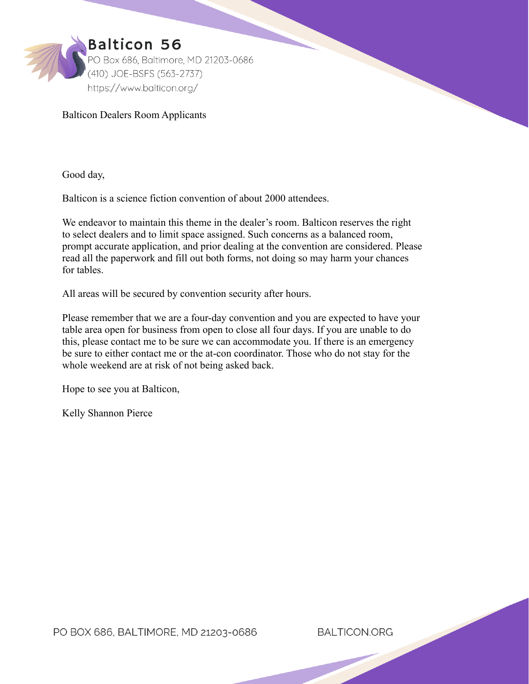

### Balticon Dealers Room Applicants

Good day,

Balticon is a science fiction convention of about 2000 attendees.

We endeavor to maintain this theme in the dealer's room. Balticon reserves the right to select dealers and to limit space assigned. Such concerns as a balanced room, prompt accurate application, and prior dealing at the convention are considered. Please read all the paperwork and fill out both forms, not doing so may harm your chances for tables.

All areas will be secured by convention security after hours.

Please remember that we are a four-day convention and you are expected to have your table area open for business from open to close all four days. If you are unable to do this, please contact me to be sure we can accommodate you. If there is an emergency be sure to either contact me or the at-con coordinator. Those who do not stay for the whole weekend are at risk of not being asked back.

Hope to see you at Balticon,

Kelly Shannon Pierce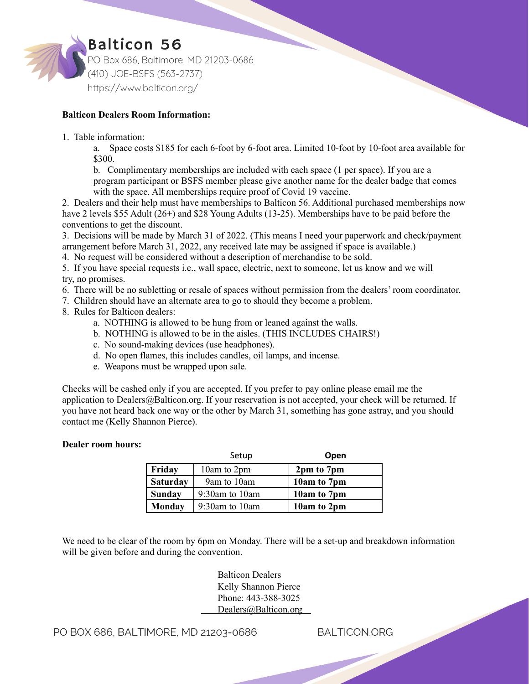

### **Balticon Dealers Room Information:**

1. Table information:

a. Space costs \$185 for each 6-foot by 6-foot area. Limited 10-foot by 10-foot area available for \$300.

b. Complimentary memberships are included with each space (1 per space). If you are a program participant or BSFS member please give another name for the dealer badge that comes with the space. All memberships require proof of Covid 19 vaccine.

2. Dealers and their help must have memberships to Balticon 56. Additional purchased memberships now have 2 levels \$55 Adult (26+) and \$28 Young Adults (13-25). Memberships have to be paid before the conventions to get the discount.

3. Decisions will be made by March 31 of 2022. (This means I need your paperwork and check/payment arrangement before March 31, 2022, any received late may be assigned if space is available.)

4. No request will be considered without a description of merchandise to be sold.

5. If you have special requests i.e., wall space, electric, next to someone, let us know and we will try, no promises.

6. There will be no subletting or resale of spaces without permission from the dealers' room coordinator.

- 7. Children should have an alternate area to go to should they become a problem.
- 8. Rules for Balticon dealers:
	- a. NOTHING is allowed to be hung from or leaned against the walls.
	- b. NOTHING is allowed to be in the aisles. (THIS INCLUDES CHAIRS!)
	- c. No sound-making devices (use headphones).
	- d. No open flames, this includes candles, oil lamps, and incense.
	- e. Weapons must be wrapped upon sale.

Checks will be cashed only if you are accepted. If you prefer to pay online please email me the application to [Dealers@Balticon.org](mailto:Dealers@Balticon.org). If your reservation is not accepted, your check will be returned. If you have not heard back one way or the other by March 31, something has gone astray, and you should contact me (Kelly Shannon Pierce).

#### **Dealer room hours:**

|                 | Setup             | Open        |
|-----------------|-------------------|-------------|
| Friday          | 10am to 2pm       | 2pm to 7pm  |
| <b>Saturday</b> | 9am to 10am       | 10am to 7pm |
| <b>Sunday</b>   | $9:30$ am to 10am | 10am to 7pm |
| Monday          | $9:30$ am to 10am | 10am to 2pm |

We need to be clear of the room by 6pm on Monday. There will be a set-up and breakdown information will be given before and during the convention.

> Balticon Dealers Kelly Shannon Pierce Phone: 443-388-3025 [Dealers@Balticon.org](mailto:Dealers@Balticon.org)

PO BOX 686, BALTIMORE, MD 21203-0686

**BALTICON.ORG**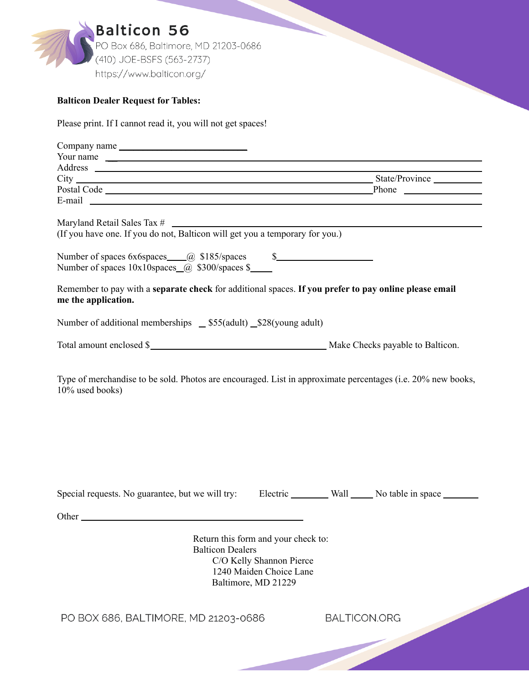

# **Balticon Dealer Request for Tables:**

Please print. If I cannot read it, you will not get spaces!

| Company name                                                                                                                                                                                                                                                                                                                                                                                                                                                    |                         |                                                                                                                   |  |
|-----------------------------------------------------------------------------------------------------------------------------------------------------------------------------------------------------------------------------------------------------------------------------------------------------------------------------------------------------------------------------------------------------------------------------------------------------------------|-------------------------|-------------------------------------------------------------------------------------------------------------------|--|
| Your name                                                                                                                                                                                                                                                                                                                                                                                                                                                       |                         |                                                                                                                   |  |
|                                                                                                                                                                                                                                                                                                                                                                                                                                                                 |                         |                                                                                                                   |  |
|                                                                                                                                                                                                                                                                                                                                                                                                                                                                 |                         |                                                                                                                   |  |
| Postal Code Phone Phone Phone Phone Phone Phone Phone Phone Phone Phone Phone Phone Phone Phone Phone Phone Phone Phone Phone Phone Phone Phone Phone Phone Phone Phone Phone Phone Phone Phone Phone Phone Phone Phone Phone<br>E-mail contract the contract of the contract of the contract of the contract of the contract of the contract of the contract of the contract of the contract of the contract of the contract of the contract of the contract o |                         |                                                                                                                   |  |
|                                                                                                                                                                                                                                                                                                                                                                                                                                                                 |                         |                                                                                                                   |  |
|                                                                                                                                                                                                                                                                                                                                                                                                                                                                 |                         |                                                                                                                   |  |
| Maryland Retail Sales Tax $\#$<br>(If you have one. If you do not, Balticon will get you a temporary for you.)                                                                                                                                                                                                                                                                                                                                                  |                         |                                                                                                                   |  |
|                                                                                                                                                                                                                                                                                                                                                                                                                                                                 |                         |                                                                                                                   |  |
| Remember to pay with a separate check for additional spaces. If you prefer to pay online please email<br>me the application.                                                                                                                                                                                                                                                                                                                                    |                         |                                                                                                                   |  |
| Number of additional memberships _ \$55(adult) _\$28(young adult)                                                                                                                                                                                                                                                                                                                                                                                               |                         |                                                                                                                   |  |
| Total amount enclosed \$                                                                                                                                                                                                                                                                                                                                                                                                                                        |                         |                                                                                                                   |  |
| Type of merchandise to be sold. Photos are encouraged. List in approximate percentages (i.e. 20% new books,<br>10% used books)                                                                                                                                                                                                                                                                                                                                  |                         |                                                                                                                   |  |
| Special requests. No guarantee, but we will try: Electric Wall No table in space                                                                                                                                                                                                                                                                                                                                                                                |                         |                                                                                                                   |  |
|                                                                                                                                                                                                                                                                                                                                                                                                                                                                 |                         |                                                                                                                   |  |
|                                                                                                                                                                                                                                                                                                                                                                                                                                                                 | <b>Balticon Dealers</b> | Return this form and your check to:<br>C/O Kelly Shannon Pierce<br>1240 Maiden Choice Lane<br>Baltimore, MD 21229 |  |

PO BOX 686, BALTIMORE, MD 21203-0686

**BALTICON.ORG**